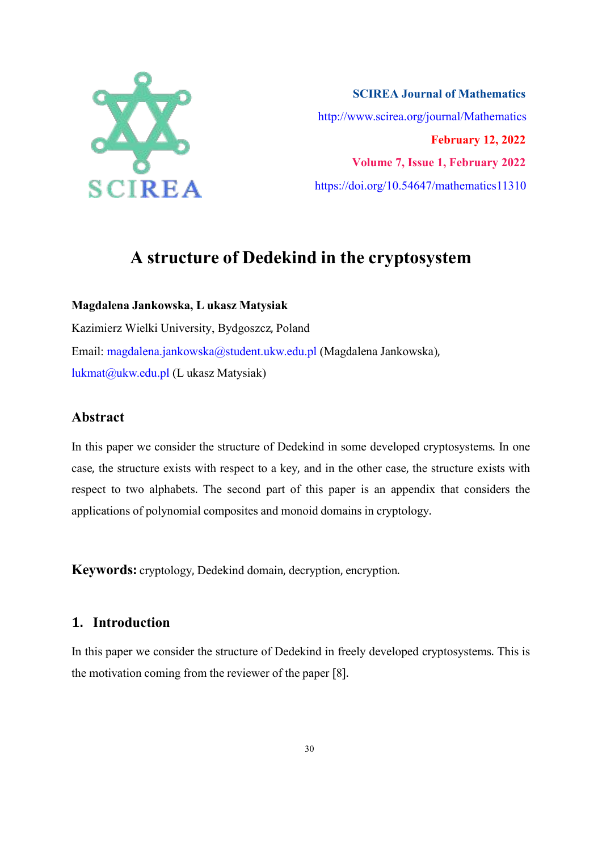

**SCIREA Journal of Mathematics** http://www.scirea.org/journal/Mathematics **February 12, 2022 Volume 7, Issue 1, February 2022** https://doi.org/10.54647/mathematics11310

# **A structure of Dedekind in the cryptosystem**

**Magdalena Jankowska, L ukasz Matysiak**

Kazimierz Wielki University, Bydgoszcz, Poland Email: magdalena.jankowska@student.ukw.edu.pl (Magdalena Jankowska), lukmat@ukw.edu.pl (L ukasz Matysiak)

# **Abstract**

In this paper we consider the structure of Dedekind in some developed cryptosystems. In one case, the structure exists with respect to a key, and in the other case, the structure exists with respect to two alphabets. The second part of this paper is an appendix that considers the applications of polynomial composites and monoid domains in cryptology.

**Keywords:** cryptology, Dedekind domain, decryption, encryption.

# **1. Introduction**

In this paper we consider the structure of Dedekind in freely developed cryptosystems. This is the motivation coming from the reviewer of the paper [8].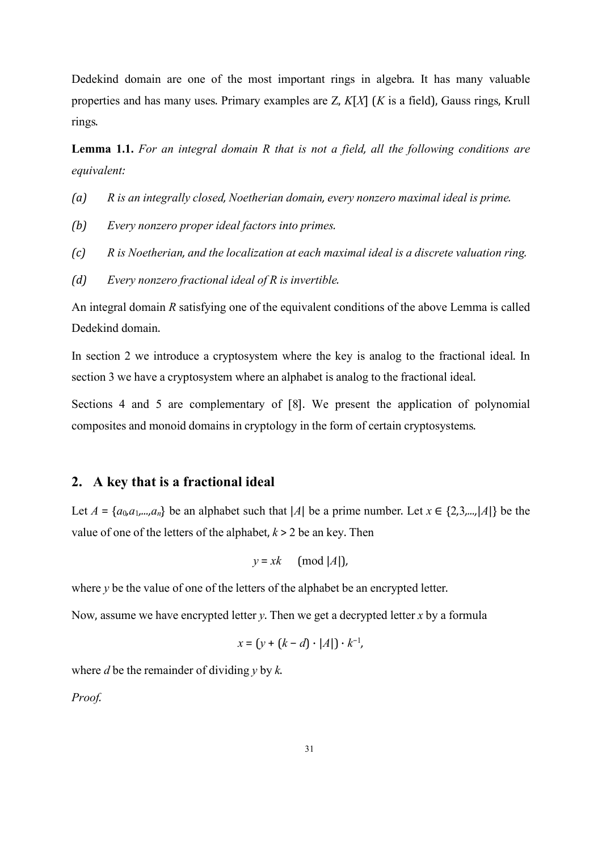Dedekind domain are one of the most important rings in algebra. It has many valuable properties and has many uses. Primary examples are Z, *K*[*X*] (*K* is a field), Gauss rings, Krull rings.

**Lemma 1.1.** For an integral domain R that is not a field, all the following conditions are *equivalent:*

- *(a) R is anintegrally closed, Noetherian domain, every nonzero maximal ideal is prime.*
- *(b) Every nonzero proper ideal factors into primes.*
- *(c) R is Noetherian, and the localization at each maximal ideal is a discrete valuation ring.*
- *(d) Every nonzero fractionalideal of R is invertible.*

An integral domain *R* satisfying one of the equivalent conditions of the above Lemma is called Dedekind domain.

In section 2 we introduce a cryptosystem where the key is analog to the fractional ideal. In section 3 we have a cryptosystem where an alphabet is analog to the fractional ideal.

Sections 4 and 5 are complementary of [8]. We present the application of polynomial composites and monoid domains in cryptology in the form of certain cryptosystems.

## **2. A key that is a fractional ideal**

Let  $A = \{a_0, a_1, \ldots, a_n\}$  be an alphabet such that  $|A|$  be a prime number. Let  $x \in \{2, 3, \ldots, |A|\}$  be the value of one of the letters of the alphabet,  $k > 2$  be an key. Then

$$
y = xk \pmod{|A|}
$$

where  $y$  be the value of one of the letters of the alphabet be an encrypted letter.

Now, assume we have encrypted letter *y*. Then we get a decrypted letter *x* by a formula

$$
x = (y + (k - d) \cdot |A|) \cdot k^{-1},
$$

where *d* be the remainder of dividing *y* by *k*.

*Proof.*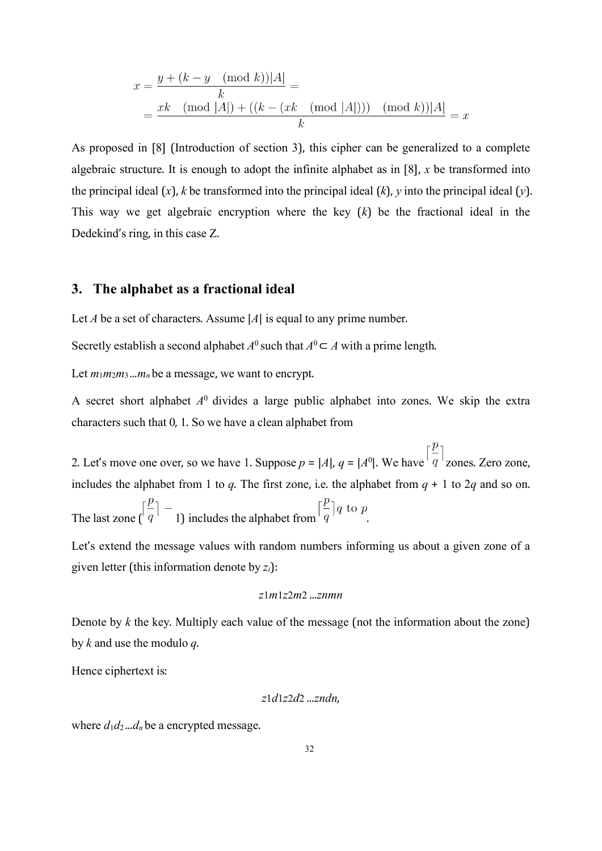$$
x = \frac{y + (k - y \pmod{k})|A|}{k} =
$$
  
= 
$$
\frac{xk \pmod{|A|} + ((k - (xk \pmod{|A|})) \pmod{k})|A|}{k} = x
$$

As proposed in [8] (Introduction of section 3), this cipher can be generalized to a complete algebraic structure. It is enough to adopt the infinite alphabet as in  $[8]$ , *x* be transformed into the principal ideal (*x*), *k* be transformed into the principal ideal (*k*), *y* into the principal ideal (*y*). This way we get algebraic encryption where the key (*k*) be the fractional ideal in the Dedekind's ring, in this case Z.

#### **3. The alphabet as a fractional ideal**

Let *A* be a set of characters. Assume |*A*| is equal to any prime number.

Secretly establish a second alphabet  $A^0$  such that  $A^0 \subset A$  with a prime length.

Let  $m_1m_2m_3...m_n$  be a message, we want to encrypt.

A secret short alphabet *A* <sup>0</sup> divides a large public alphabet into zones. We skip the extra characters such that 0, 1. So we have a clean alphabet from

2. Let's move one over, so we have 1. Suppose  $p = |A|$ ,  $q = |A^0|$ . We have  $q^{-1}$  zones. Zero zone, includes the alphabet from 1 to *q*. The first zone, i.e. the alphabet from  $q + 1$  to 2*q* and so on.

The last zone  $\left[\frac{p}{q}\right]$  - 1) includes the alphabet from  $\left[\frac{p}{q}\right]q$  to p.

Let's extend the message values with random numbers informing us about a given zone of a given letter (this information denote by *zi*):

*z*1*m*1*z*2*m*2 *...znmn*

Denote by *k* the key. Multiply each value of the message (not the information about the zone) by *k* and use the modulo *q*.

Hence ciphertext is:

$$
z1d1z2d2\ldots zndn,
$$

where  $d_1d_2...d_n$  be a encrypted message.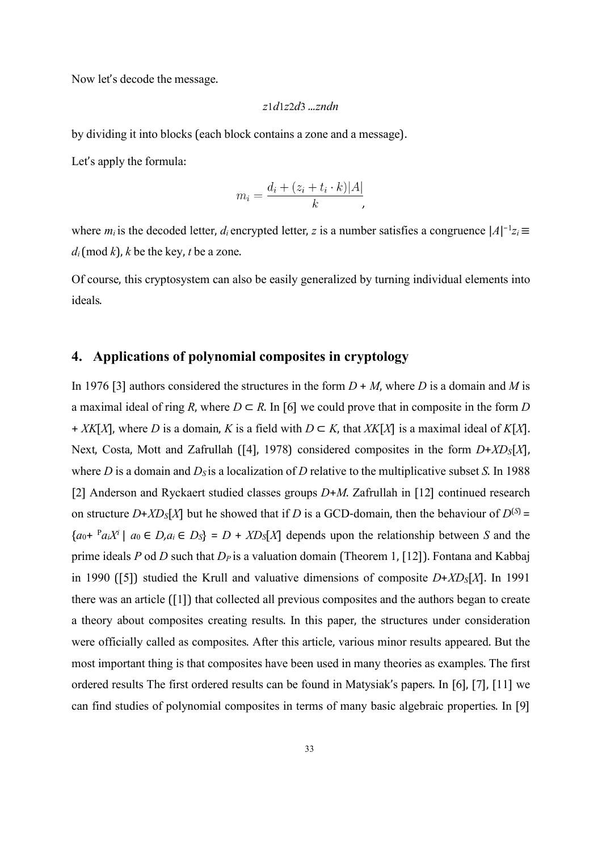Now let's decode the message.

$$
z1d1z2d3
$$
 ... $zndn$ 

by dividing it into blocks (each block contains a zone and a message).

Let's apply the formula:

$$
m_i = \frac{d_i + (z_i + t_i \cdot k)|A|}{k},
$$

where  $m_i$  is the decoded letter,  $d_i$  encrypted letter, *z* is a number satisfies a congruence  $|A|^{-1}z_i \equiv$  $d_i$ (mod *k*), *k* be the key, *t* be a zone.

Of course, this cryptosystem can also be easily generalized by turning individual elements into ideals.

## **4. Applications of polynomial composites in cryptology**

In 1976 [3] authors considered the structures in the form  $D + M$ , where *D* is a domain and *M* is a maximal ideal of ring *R*, where  $D \subset R$ . In [6] we could prove that in composite in the form *D* + *XK*[*X*], where *D* is a domain, *K* is a field with *D* ⊂ *K*, that *XK*[*X*] is a maximal ideal of *K*[*X*].Next, Costa, Mott and Zafrullah ([4], 1978) considered composites in the form *D*+*XDS*[*X*], where *D* is a domain and  $D_s$  is a localization of *D* relative to the multiplicative subset *S*. In 1988 [2] Anderson and Ryckaert studied classes groups *D*+*M*. Zafrullah in [12] continued research on structure  $D+XD_S[X]$  but he showed that if *D* is a GCD-domain, then the behaviour of  $D^{(S)}$  =  ${a_0 + {P_a}_i}$  |  ${a_0 \in D, a_i \in D_s} = D + X D_s[X]$  depends upon the relationship between *S* and the prime ideals *P* od *D* such that *D<sup>P</sup>* is a valuation domain (Theorem 1, [12]). Fontana and Kabbaj in 1990 ([5]) studied the Krull and valuative dimensions of composite *D*+*XDS*[*X*]. In 1991 there was an article ([1]) that collected all previous composites and the authors began to create a theory about composites creating results. In this paper, the structures under consideration were officially called as composites. After this article, various minor results appeared. But the most important thing is that composites have been used in many theories as examples. The first ordered results The first ordered results can be found in Matysiak's papers. In [6], [7], [11] we can find studies of polynomial composites in terms of many basic algebraic properties. In [9]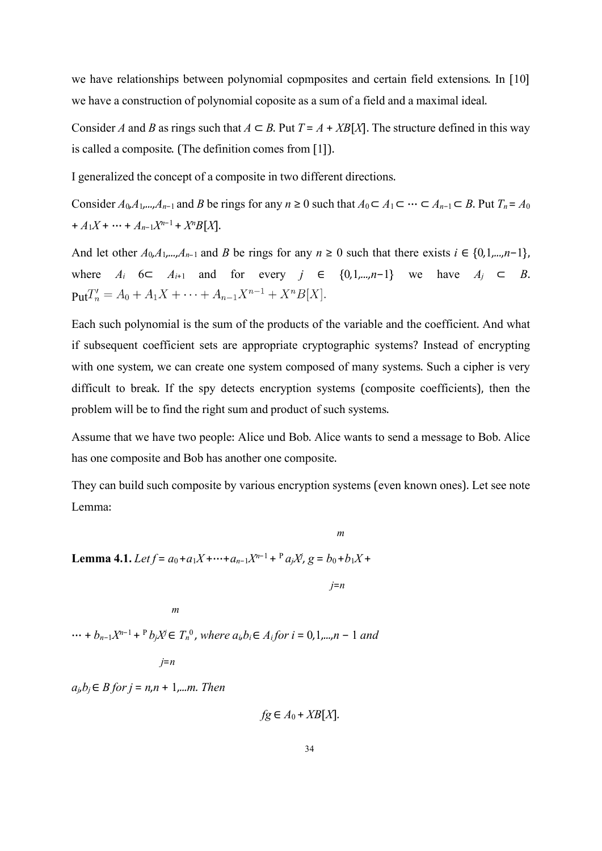we have relationships between polynomial copmposites and certain field extensions. In [10] we have a construction of polynomial coposite as a sum of a field and a maximal ideal.

Consider *A* and *B* as rings such that  $A \subseteq B$ . Put  $T = A + XB[X]$ . The structure defined in this way is called a composite.(The definition comes from [1]).

I generalized the concept of a composite in two different directions.

Consider  $A_0, A_1, \ldots, A_{n-1}$  and *B* be rings for any  $n \ge 0$  such that  $A_0 \subset A_1 \subset \cdots \subset A_{n-1} \subset B$ . Put  $T_n = A_0$  $+A_1X + \cdots + A_{n-1}X^{n-1} + X^nB[X].$ 

And let other  $A_0, A_1, \ldots, A_{n-1}$  and *B* be rings for any  $n \geq 0$  such that there exists  $i \in \{0, 1, \ldots, n-1\}$ , where  $A_i$  6⊂  $A_{i+1}$  and for every  $j \in \{0, 1, ..., n-1\}$  we have  $A_j \subset B$ .  $\mathbf{Put}T'_{n} = A_{0} + A_{1}X + \cdots + A_{n-1}X^{n-1} + X^{n}B[X].$ 

Each such polynomial is the sum of the products of the variable and the coefficient. And what if subsequent coefficient sets are appropriate cryptographic systems? Instead of encrypting with one system, we can create one system composed of many systems. Such a cipher is very difficult to break. If the spy detects encryption systems (composite coefficients), then the problem will be to find the right sum and product of such systems.

Assume that we have two people: Alice und Bob. Alice wants to send a message to Bob. Alice has one composite and Bob has another one composite.

They can build such composite by various encryption systems (even known ones). Let see note Lemma:

*m*

**Lemma 4.1.** Let  $f = a_0 + a_1X + \dots + a_{n-1}X^{n-1} + P a_jX$ ,  $g = b_0 + b_1X +$ 

*j*=*n*

*m*

 $\cdots + b_{n-1}X^{n-1} + P b_j X^j \in T_n^0$ , where  $a_i, b_i \in A_i$  for  $i = 0, 1, ..., n-1$  and

*j*=*n*

 $a<sub>i</sub>, b<sub>i</sub> ∈ B$  *for*  $j = n, n + 1, ...$ *m. Then* 

 $f$ *g*  $\in$  *A*<sup>0</sup> + *XB*[*X*]*.*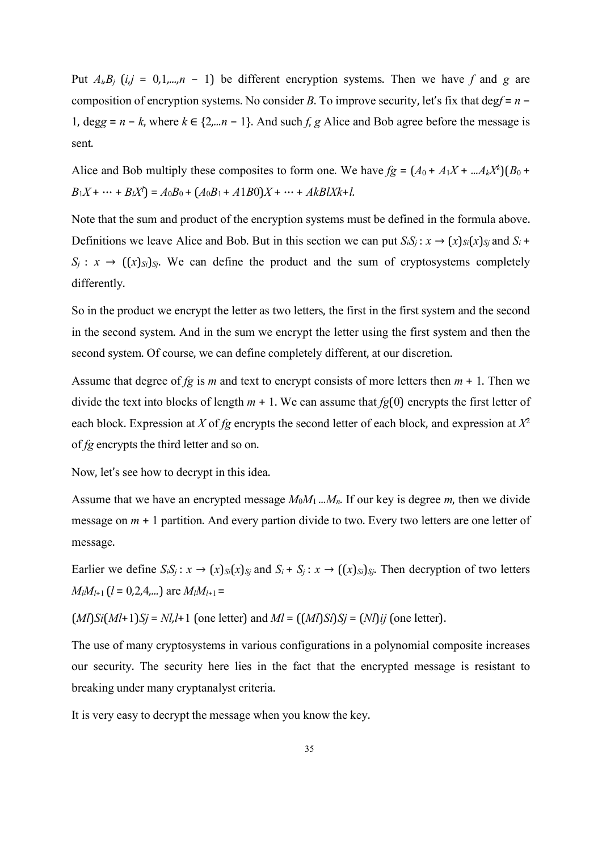Put  $A_i B_j$  (*i,j* = 0,1,*...,n* − 1) be different encryption systems. Then we have f and g are composition of encryption systems. No consider *B*. To improve security, let's fix that deg*f* = *n* − 1, deg*g* = *n* − *k*, where *k* ∈ {2*,...n* − 1}. And such *f*, *g* Alice and Bob agree before the message is sent.

Alice and Bob multiply these composites to form one. We have  $fg = (A_0 + A_1X + ...A_kX^k)(B_0 +$  $B_1X + \cdots + B_lX^l$  =  $A_0B_0 + (A_0B_1 + A1B_0)X + \cdots + AkBIXk+l$ .

Note that the sum and product of the encryption systems must be defined in the formula above. Definitions we leave Alice and Bob. But in this section we can put  $S_iS_j$ :  $x \to (x)_{Si}(x)_{Si}$  and  $S_i$  +  $S_i: x \to ((x)_{S_i})_{S_i}$ . We can define the product and the sum of cryptosystems completely differently.

So in the product we encrypt the letter as two letters, the first in the first system and the second in the second system. And in the sum we encrypt the letter using the first system and then the second system. Of course, we can define completely different, at our discretion.

Assume that degree of  $fg$  is  $m$  and text to encrypt consists of more letters then  $m + 1$ . Then we divide the text into blocks of length  $m + 1$ . We can assume that  $fg(0)$  encrypts the first letter of each block. Expression at *X* of *fg* encrypts the second letter of each block, and expression at *X*  $\sim$  2 of *fg* encrypts the third letter and so on.

Now, let's see how to decrypt in this idea.

Assume that we have an encrypted message  $M_0M_1$  ... $M_n$ . If our key is degree m, then we divide message on  $m + 1$  partition. And every partion divide to two. Every two letters are one letter of message.

Earlier we define  $S_iS_j: x \to (x)_{S_i}(x)_{S_j}$  and  $S_i + S_j: x \to ((x)_{S_i})_{S_j}$ . Then decryption of two letters  $M_lM_{l+1}$  (*l* = 0,2,4,...) are  $M_lM_{l+1}$  =

$$
(MI)Si(Ml+1)Si = NI, l+1
$$
 (one letter) and 
$$
MI = ((MI)Si)Si = (NI)ij
$$
 (one letter).

The use of many cryptosystems in various configurations in a polynomial composite increases our security. The security here lies in the fact that the encrypted message is resistant to breaking under many cryptanalyst criteria.

It is very easy to decrypt the message when you know the key.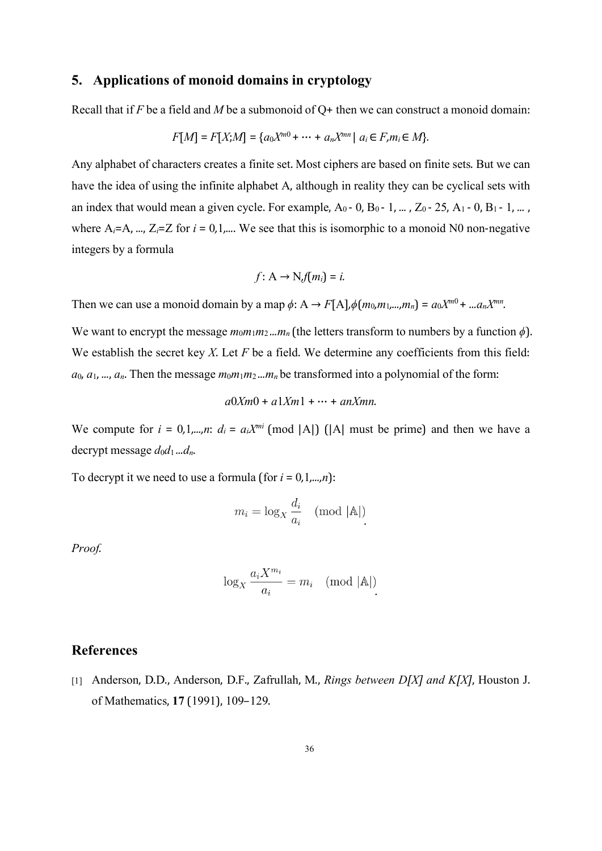#### **5. Applications of monoid domains in cryptology**

Recall that if *F* be a field and *M* be a submonoid of Q+ then we can construct a monoid domain:

$$
F[M] = F[X;M] = \{a_0X^{m0} + \dots + a_nX^{mn} \mid a_i \in F, m_i \in M\}.
$$

Any alphabet of characters creates a finite set. Most ciphers are based on finite sets. But we can have the idea of using the infinite alphabet A, although in reality they can be cyclical sets with an index that would mean a given cycle. For example,  $A_0$  - 0,  $B_0$  - 1,  $\ldots$  ,  $Z_0$  - 25,  $A_1$  - 0,  $B_1$  - 1,  $\ldots$  , where  $A_i = A$ , *...*,  $Z_i = Z$  for  $i = 0, 1, ...$  We see that this is isomorphic to a monoid N0 non-negative integers by a formula

$$
f: A \to N_i f(m_i) = i.
$$

Then we can use a monoid domain by a map  $\phi: A \to F[A], \phi(m_0, m_1, ..., m_n) = a_0 X^{m_0} + ... a_n X^{mn}$ . *.*

We want to encrypt the message  $m_0m_1m_2...m_n$  (the letters transform to numbers by a function  $\phi$ ). We establish the secret key *X*. Let *F* be a field. We determine any coefficients from this field:  $a_0, a_1, \ldots, a_n$ . Then the message  $m_0m_1m_2...m_n$  be transformed into a polynomial of the form:

$$
a0Xm0 + a1Xm1 + \cdots + anXmn.
$$

We compute for  $i = 0,1,...,n$ :  $d_i = a_i X^{mi} \pmod{|A|}$  (|A| must be prime) and then we have a decrypt message *d*0*d*<sup>1</sup> *...dn*.

To decrypt it we need to use a formula (for  $i = 0,1,...,n$ ):

$$
m_i = \log_X \frac{d_i}{a_i} \pmod{|\mathbb{A}|}
$$

*Proof.*

$$
\log_X \frac{a_i X^{m_i}}{a_i} = m_i \pmod{|\mathbb{A}|}
$$

#### **References**

[1] Anderson, D.D., Anderson, D.F., Zafrullah, M., *Rings between D[X] and K[X]*, Houston J. of Mathematics, **17** (1991), 109–129.